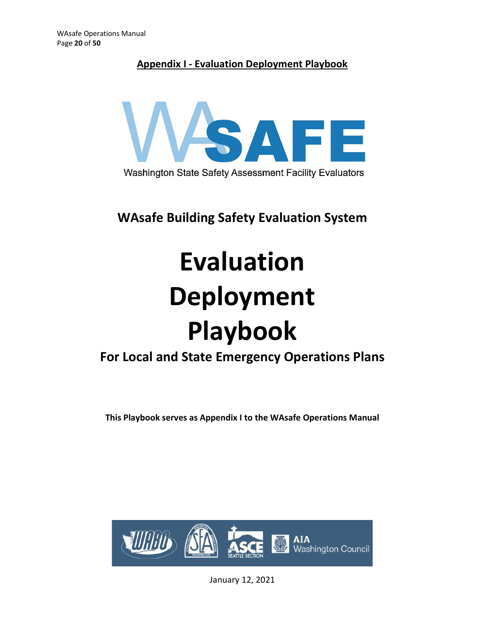## Appendix I - Evaluation Deployment Playbook



WAsafe Building Safety Evaluation System

# Evaluation Deployment Playbook

# For Local and State Emergency Operations Plans

This Playbook serves as Appendix I to the WAsafe Operations Manual



January 12, 2021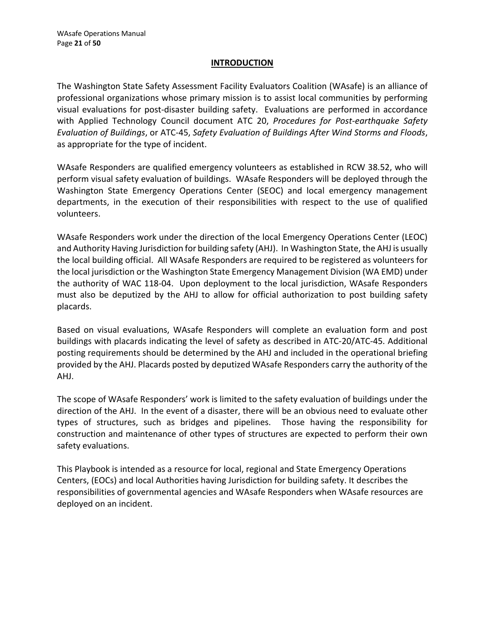#### INTRODUCTION

The Washington State Safety Assessment Facility Evaluators Coalition (WAsafe) is an alliance of professional organizations whose primary mission is to assist local communities by performing visual evaluations for post-disaster building safety. Evaluations are performed in accordance with Applied Technology Council document ATC 20, Procedures for Post-earthquake Safety Evaluation of Buildings, or ATC-45, Safety Evaluation of Buildings After Wind Storms and Floods, as appropriate for the type of incident.

WAsafe Responders are qualified emergency volunteers as established in RCW 38.52, who will perform visual safety evaluation of buildings. WAsafe Responders will be deployed through the Washington State Emergency Operations Center (SEOC) and local emergency management departments, in the execution of their responsibilities with respect to the use of qualified volunteers.

WAsafe Responders work under the direction of the local Emergency Operations Center (LEOC) and Authority Having Jurisdiction for building safety (AHJ). In Washington State, the AHJ is usually the local building official. All WAsafe Responders are required to be registered as volunteers for the local jurisdiction or the Washington State Emergency Management Division (WA EMD) under the authority of WAC 118-04. Upon deployment to the local jurisdiction, WAsafe Responders professional organizations whose primary mission is to assist local communities by performed in accordance<br>visual evaluations for post-disaster building safety. Evaluations are performed in accordance<br>with Applied Technolo placards.

Based on visual evaluations, WAsafe Responders will complete an evaluation form and post buildings with placards indicating the level of safety as described in ATC-20/ATC-45. Additional posting requirements should be determined by the AHJ and included in the operational briefing provided by the AHJ. Placards posted by deputized WAsafe Responders carry the authority of the AHJ.

The scope of WAsafe Responders' work is limited to the safety evaluation of buildings under the direction of the AHJ. In the event of a disaster, there will be an obvious need to evaluate other types of structures, such as bridges and pipelines. Those having the responsibility for construction and maintenance of other types of structures are expected to perform their own safety evaluations.

This Playbook is intended as a resource for local, regional and State Emergency Operations Centers, (EOCs) and local Authorities having Jurisdiction for building safety. It describes the responsibilities of governmental agencies and WAsafe Responders when WAsafe resources are deployed on an incident.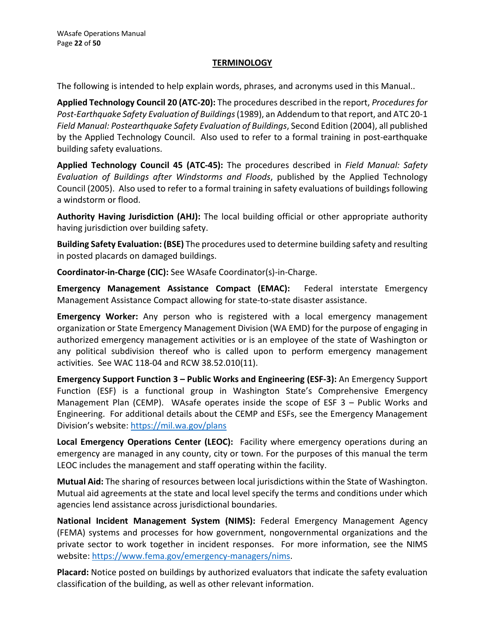#### **TERMINOLOGY**

The following is intended to help explain words, phrases, and acronyms used in this Manual..

WAsafe Operations Manual<br>
TERMINOLOGY<br>
The following is intended to help explain words, phrases, and acronyms used in this Manual..<br> **Applied Technology Council 20 (ATC-20)**: The procedures described in the report, *Proced* Post-Earthquake Safety Evaluation of Buildings (1989), an Addendum to that report, and ATC 20-1 Field Manual: Postearthquake Safety Evaluation of Buildings, Second Edition (2004), all published by the Applied Technology Council. Also used to refer to a formal training in post-earthquake building safety evaluations.

Applied Technology Council 45 (ATC-45): The procedures described in Field Manual: Safety Evaluation of Buildings after Windstorms and Floods, published by the Applied Technology Council (2005). Also used to refer to a formal training in safety evaluations of buildings following a windstorm or flood.

Authority Having Jurisdiction (AHJ): The local building official or other appropriate authority having jurisdiction over building safety.

Building Safety Evaluation: (BSE) The procedures used to determine building safety and resulting in posted placards on damaged buildings.

Coordinator-in-Charge (CIC): See WAsafe Coordinator(s)-in-Charge.

Emergency Management Assistance Compact (EMAC): Federal interstate Emergency Management Assistance Compact allowing for state-to-state disaster assistance.

Emergency Worker: Any person who is registered with a local emergency management organization or State Emergency Management Division (WA EMD) for the purpose of engaging in authorized emergency management activities or is an employee of the state of Washington or any political subdivision thereof who is called upon to perform emergency management activities. See WAC 118-04 and RCW 38.52.010(11).

Emergency Support Function 3 – Public Works and Engineering (ESF-3): An Emergency Support Function (ESF) is a functional group in Washington State's Comprehensive Emergency Management Plan (CEMP). WAsafe operates inside the scope of ESF 3 – Public Works and Engineering. For additional details about the CEMP and ESFs, see the Emergency Management Division's website: https://mil.wa.gov/plans

Local Emergency Operations Center (LEOC): Facility where emergency operations during an emergency are managed in any county, city or town. For the purposes of this manual the term LEOC includes the management and staff operating within the facility.

Mutual Aid: The sharing of resources between local jurisdictions within the State of Washington. Mutual aid agreements at the state and local level specify the terms and conditions under which agencies lend assistance across jurisdictional boundaries.

National Incident Management System (NIMS): Federal Emergency Management Agency (FEMA) systems and processes for how government, nongovernmental organizations and the private sector to work together in incident responses. For more information, see the NIMS website: https://www.fema.gov/emergency-managers/nims.

Placard: Notice posted on buildings by authorized evaluators that indicate the safety evaluation classification of the building, as well as other relevant information.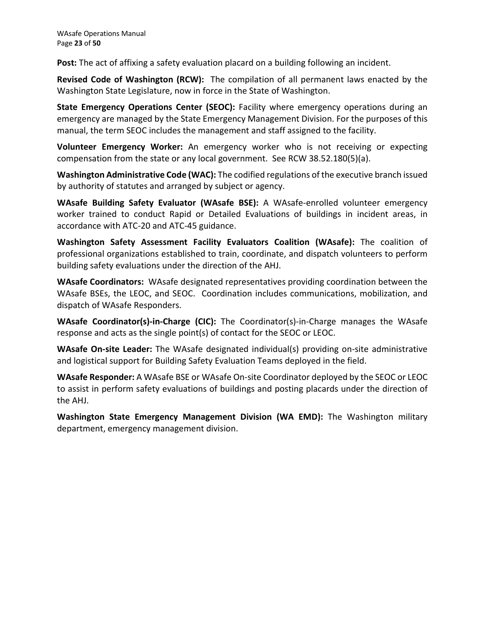Post: The act of affixing a safety evaluation placard on a building following an incident.

Revised Code of Washington (RCW): The compilation of all permanent laws enacted by the Washington State Legislature, now in force in the State of Washington.

State Emergency Operations Center (SEOC): Facility where emergency operations during an emergency are managed by the State Emergency Management Division. For the purposes of this manual, the term SEOC includes the management and staff assigned to the facility. WAsafe Operations Manual<br>
Page 23 of 50<br> **Post:** The act of affixing a safety evaluation placard on a building following an incident.<br> **Revised Code of Washington (RCW):** The compilation of all permanent laws enacted by th

Volunteer Emergency Worker: An emergency worker who is not receiving or expecting compensation from the state or any local government. See RCW 38.52.180(5)(a).

Washington Administrative Code (WAC): The codified regulations of the executive branch issued by authority of statutes and arranged by subject or agency.

WAsafe Building Safety Evaluator (WAsafe BSE): A WAsafe-enrolled volunteer emergency worker trained to conduct Rapid or Detailed Evaluations of buildings in incident areas, in

Washington Safety Assessment Facility Evaluators Coalition (WAsafe): The coalition of professional organizations established to train, coordinate, and dispatch volunteers to perform building safety evaluations under the direction of the AHJ.

WAsafe Coordinators: WAsafe designated representatives providing coordination between the WAsafe BSEs, the LEOC, and SEOC. Coordination includes communications, mobilization, and dispatch of WAsafe Responders.

WAsafe Coordinator(s)-in-Charge (CIC): The Coordinator(s)-in-Charge manages the WAsafe response and acts as the single point(s) of contact for the SEOC or LEOC.

WAsafe On-site Leader: The WAsafe designated individual(s) providing on-site administrative and logistical support for Building Safety Evaluation Teams deployed in the field.

WAsafe Responder: A WAsafe BSE or WAsafe On-site Coordinator deployed by the SEOC or LEOC to assist in perform safety evaluations of buildings and posting placards under the direction of the AHJ.

Washington State Emergency Management Division (WA EMD): The Washington military department, emergency management division.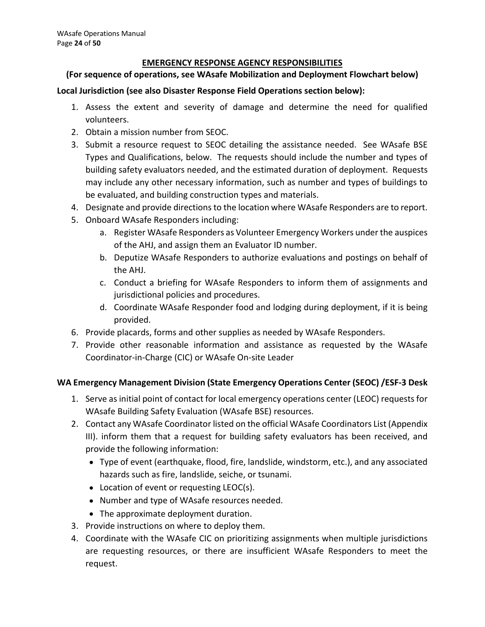#### EMERGENCY RESPONSE AGENCY RESPONSIBILITIES

#### (For sequence of operations, see WAsafe Mobilization and Deployment Flowchart below)

#### Local Jurisdiction (see also Disaster Response Field Operations section below):

- volunteers.
- 
- 1. Assess the extent and severity of damage and determine the need for qualified valuatisation (see also Disaster Response Field Operations section below):<br>
1. Assess the extent and severity of damage and determine the nee EMERGENCY RESPONSE AGENCY RESPONSIBILITIES<br>
For sequence of operations, see WAsafe Mobilization and Deploymen<br>
al Jurisdiction (see also Disaster Response Field Operations section be<br>
1. Assess the extent and severity of d 2. 24 of 50<br> **EMERGENCY RESPONSE AGENCY RESPONSIBILITIES**<br>
For sequence of operations, see WAsafe Mobilization and Deployment Flowchart below)<br>
al Jurisdiction (see also Disaster Response Field Operations section below):<br> Types and Qualifications, below. The requests should include the number and types of Deerations Manual<br>
Shepton Control of Songraph Control of Songraph Control of Songraph Control of See Wassafe Mobilization and Deployment Flowchart below)<br>
Irisdiction (see also Disaster Response Field Operations section b may include any other necessary information, such as number and types of buildings to be evaluated, and building construction types and materials. are Operations Manual<br>
EMERGENCY RESPONSE AGENCY RESPONSIBILITIES<br>
For sequence of operations, see WAsafe Mobilization and Deployment Flowchart below)<br>
al Jurisdiction (see also Disaster Response Field Operations section b afe Operations Manual<br>
2.24 of 50<br>
EMERGENCY RESPONSE AGENCY RESPONSIBILITIES<br>
For sequence of operations, see WAsafe Mobilization and Deploymen<br>
2.1 Unisolation (see also Disaster Response Field Operations section be<br>
2.1 a.<br> **EMERGENCY RESPONSE AGENCY RESPONSIBILITIES**<br> **EMERGENCY RESPONSE AGENCY RESPONSIBILITIES**<br> **ENERGENCY RESPONSE AGENCY RESPONSIBILITIES**<br> **ENERGENCY RESPONSE FOR AUSTRAL CONSTANT EMERT (**<br> **ENERGENCY RESPONSE FOR AUSTR EMERGENCY RESPONSE AGENCY RESPONSIBILITIES**<br> **Enere of operations, see WAsafe Mobilization and Deployment Flowchart below)**<br> **Entition (see also Disaster Response Field Operations section below):**<br>
Enses the extent and se diction (see also Disaster Response Field Operations section below):<br>
ess the extent and severity of damage and determine the need for qualified<br>
inta a mission number from SEOC.<br>
Init a resource request to SEOC detailing Extern and severity of variage and decermine the need for quantied<br>interers.<br>ain a mission number from SEOC.<br>es and Qualifications, below. The requests should include the number and types of<br>ding safety evaluators needed, 2. Consineral mission transformation SCO. Contailing the assistance needed. See WAsafe BSE<br>
3. Submit a resource request to SEOC detailing the assistance needed. See WAsafe BSE<br>
Types and Qualifications, below. The request 7. Journal erisotore lequests to Jordon and the statistical crister incernation (Types and Qualifications, below. The requests should include the number and types of building safety evaluators needed, and the estimated dur
- 
- - of the AHJ, and assign them an Evaluator ID number.
	- the AHJ.
	- jurisdictional policies and procedures.
	- provided.
- 
- Coordinator-in-Charge (CIC) or WAsafe On-site Leader

#### WA Emergency Management Division (State Emergency Operations Center (SEOC) /ESF-3 Desk

- WAsafe Building Safety Evaluation (WAsafe BSE) resources.
- 1. Designate and provide directions to the location where WAsafe Responders are to report.<br>
1. Scholard WAsafe Responders including:<br>
2. a. Register WAsafe Responders as Volunteer Emergency Workers under the auspices<br>
1. D a. Register WAsafe Responders as Volunteer Emergency Workers under the auspices<br>of the AHJ, and assign them an Evaluator ID number.<br>b. Deputize WAsafe Responders to authorize evaluations and postings on behalf of<br>the AHJ.<br> III). inform them that a request for building safety evaluators has been received, and provide the following information:
	- Type of event (earthquake, flood, fire, landslide, windstorm, etc.), and any associated hazards such as fire, landslide, seiche, or tsunami.
	- Location of event or requesting LEOC(s).
	- Number and type of WAsafe resources needed.
	- The approximate deployment duration.
- 
- 5. Provide placards, forms and other supplies as needed by WAsafe Report Theory in Subsemble information and assistance as reque Coordinator-in-Charge (CIC) or WAsafe On-site Leader<br> **Emergency Management Division (State E** 7. Provide other reasonable information and assistance as requested by the WAsafe<br>
Coordinator-in-Charge (CIC) or WAsafe On-site leader<br> **Emergency Management Division (State Emergency Operations Center (SEOC) /ESF-3 Desk** are requesting resources, or there are insufficient WAsafe Responders to meet the request.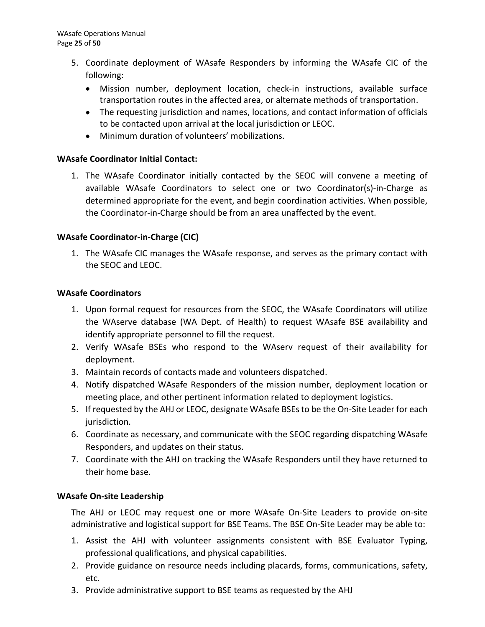- The Operations Manual<br>
5. Coordinate deployment of WAsafe Responders by informing the WAsafe CIC of the<br>
following:<br>
 Mission number, deployment location, check-in instructions, available surface<br>
transportation routes in following:
	- Mission number, deployment location, check-in instructions, available surface transportation routes in the affected area, or alternate methods of transportation.
	- The requesting jurisdiction and names, locations, and contact information of officials to be contacted upon arrival at the local jurisdiction or LEOC.
	- Minimum duration of volunteers' mobilizations.

#### WAsafe Coordinator Initial Contact:

1. Coordinator initial Contacted by the SEOC will convention and the Coordinate (Coordinate deployment of WAsafe Responders by informing the WAsafe CIC of the following:<br>
• Mission number, deployment location, check-in ins available WAsafe Coordinators to select one or two Coordinator(s)-in-Charge as determined appropriate for the event, and begin coordination activities. When possible, the Coordinator-in-Charge should be from an area unaffected by the event. 1. Coordinate deployment of WAsafe Responders by informing the WAsafe CIC of the<br>
1. The Mission number, deployment location, check-in instructions, available surface<br>
1. The requesting jurisdiction and names, locations, a • The requesting jurisdiction and names, locations, and contact information of officials<br>
• to be contacted upon arrival at the local jurisdiction or LEOC.<br>
• Minimum duration of volunteers' mobilizations.<br>
5. Safe Coordin safe Coordinator Initial Contact:<br>
1. The WAsafe Coordinator initially contacted by the SEOC will convene a meeting of<br>
available WAsafe Coordinators to select one or two Coordinator(s)-in-Charge as<br>
determined appropriate 1. The WAsafe Coordinator initially contacted by the SEOC will convene a revailable WAsafe Coordinators to select one or two Coordinator(s)-in-<br>determined appropriate for the event, and begin coordination activities. Whe<br>t

#### WAsafe Coordinator-in-Charge (CIC)

the SEOC and LEOC.

#### WAsafe Coordinators

- the WAserve database (WA Dept. of Health) to request WAsafe BSE availability and identify appropriate personnel to fill the request. available WAsafe Coordinators to select one or two Coordinator(s)-in-Charge as<br>
the Coordinator-in-Charge should be from an area unaffected by the event.<br>
safe Coordinator-in-Charge (CIC)<br>
1. The WAsafe Condinator-in-Charg the Coordinator-in-Charge should be from an area unaffected by the event.<br>
safe Coordinator-in-Charge (CIC)<br>
1. The WAsafe CIC manages the WAsafe response, and serves as the primary contact with<br>
the SEOC and LEOC.<br>
safe C sare Coordinator-in-Charge (CiC)<br>
1. The WAsafe Cic manages the WAsafe response, and serves as the primary contact with<br>
the SEOC and LEOC.<br>
5. Safe Coordinators<br>
1. Upon formal request for resources from the SEOC, the WAs the SEOC and LEOC.<br> **Safe Coordinators**<br>
1. Upon formal request for resources from the SEOC, the WAsafe Coordinators will utilize<br>
the WAserve database (WA Dept. of Health) to request WAsafe BSE availability and<br>
identify
- deployment.
- 
- meeting place, and other pertinent information related to deployment logistics.
- jurisdiction. 2. Verify WAsafe BSEs who respond to the WAserv request of their availability for<br>
deployment.<br>
3. Maintain records of contacts made and volunteers dispatched.<br>
4. Notify dispatched WAsafe Responders of the mission number, 3. Maintain records of contacts made and volunteers dispatched.<br>
4. Notify dispatched WAssef Responders of the mission number, deployment location or<br>
meeting place, and other pertinent information related to deployment lo meeting place, and other pertinent information related to deploymer<br>5. If requested by the AHJ or LEOC, designate WAsafe BSEs to be the On--<br>jurisdiction.<br>6. Coordinate as necessary, and communicate with the SEOC regarding
- Responders, and updates on their status.
- their home base.

#### WAsafe On-site Leadership

The AHJ or LEOC may request one or more WAsafe On-Site Leaders to provide on-site administrative and logistical support for BSE Teams. The BSE On-Site Leader may be able to:

- professional qualifications, and physical capabilities.
- etc.
-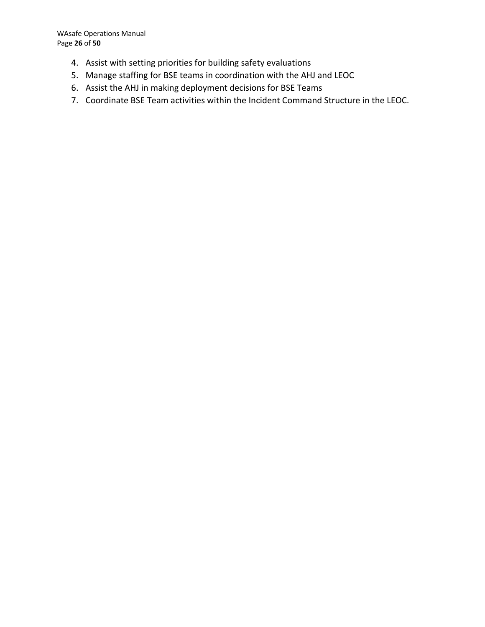WAsafe Operations Manual Page 26 of 50

- 
- 
- 
- afe Operations Manual<br>26 of 50<br>4. Assist with setting priorities for building safety evaluations<br>5. Manage staffing for BSE teams in coordination with the AHJ and LEOC<br>6. Assist the AHJ in making deployment decisions for B afe Operations Manual<br>1. Assist with setting priorities for building safety evaluations<br>5. Manage staffing for BSE teams in coordination with the AHJ and LEOC<br>6. Assist the AHJ in making deployment decisions for BSE Teams<br> afe Operations Manual<br>**4. Assist with setting priorities for building safety evaluations**<br>**5. Manage staffing for BSE teams in coordination with the AHJ and LEOC**<br>**6. Assist the AHJ in making deployment decisions for BSE T** afe Operations Manual<br>1. 26 of 50<br>4. Assist with setting priorities for building safety evaluations<br>5. Manage staffing for BSE teams in coordination with the AHJ and LEOC<br>6. Assist the AHJ in making deployment decisions fo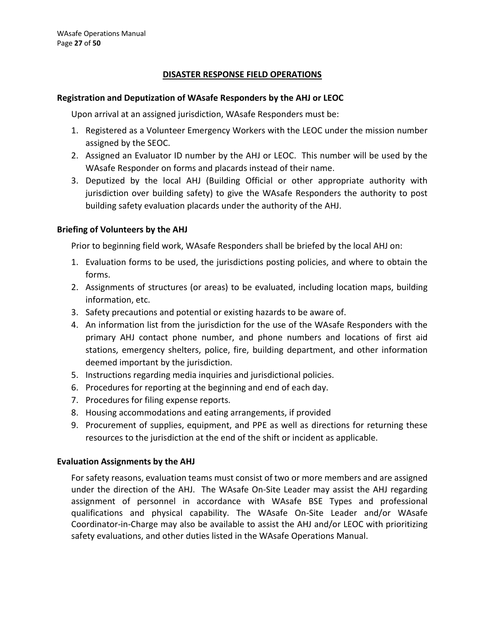#### DISASTER RESPONSE FIELD OPERATIONS

#### Registration and Deputization of WAsafe Responders by the AHJ or LEOC

Upon arrival at an assigned jurisdiction, WAsafe Responders must be:

- 1. 1. Registered as a Volunteer Emergency Workers with the LEOC under the mission and Deputization of WAsafe Responders by the AHJ or LEOC Upon arrival at an assigned jurisdiction, WAsafe Responders must be:<br>1. Registered assigned by the SEOC.
- WAsafe Responder on forms and placards instead of their name.
- 2. 27 of 50<br>
2. 27 of 50<br>
2. 27 of 50<br>
2. Assigned by the AESPONSE FIELD OPERATIONS<br>
1. Registered as a Volunteer Emergency Workers with the LEOC under the mission number<br>
1. Registered as a Volunteer Emergency Workers wit 2. 27 of 50<br>
2. 27 of 50<br>
2. 27 of 50<br>
2. DESASTER RESPONSE FIELD OPERATIONS<br>
3. Universal at an assigned jurisdiction, WAsafe Responders must be:<br>
1. Registered as a Volunteer Emergency Workers with the LEOC under the mis jurisdiction over building safety) to give the WAsafe Responders the authority to post building safety evaluation placards under the authority of the AHJ. **DISASTER RESPONSE FIELD OPERATIONS**<br>
Upon arrival at an assigned jurisdiction, WAsafe Responders by the AHJ or LEOC<br>
Upon arrival at an assigned jurisdiction, WAsafe Responders must be:<br>
1. Registered as a Volunteer Emerg Istration and Deputization of WAsafe Responders by the AHJ or LEOC<br>
Upon arrival at an assigned jurisdiction, WAsafe Responders must be:<br>
1. Registered as a Volunteer Emergency Workers with the LEOC under the mission numbe

#### Briefing of Volunteers by the AHJ

Prior to beginning field work, WAsafe Responders shall be briefed by the local AHJ on:

- forms.
- information, etc.
- 
- Upon arrival at an assigned jurisdiction, wasare kesponders must be:<br>
1. Registered as a Volunteer Emergency Workers with the LEOC under the mission nur<br>
assigned by the SEOC.<br>
2. Assigned an Evaluator ID number by the AHJ 1. Registered as a Volunteer Emergency Workers with the LEOC under the mission number<br>
assigned an Evaluator ID number by the AHJ or LEOC. This number will be used by the<br>
2. Assigned an Evaluator ID number by the AHJ or L primary AHJ contact phone number, and phone numbers and locations of first aid stations, emergency shelters, police, fire, building department, and other information deemed important by the jurisdiction. 5. Deputized by the local AHJ (Building Official or other appropriate author<br>
i jurisdiction over building safety) to give the WAsafe Responders the authorit<br>
building safety evaluation placards under the authority of the i prisdiction over building safety) to give the WAsafe Responders the author<br>
building safety evaluation placards under the authority of the AHJ.<br>
Fing of Volunteers by the AHJ<br>
Prior to beginning field work, WAsafe Respon building safety evaluation placards under the authority of the AHJ.<br> **Fing of Volunteers by the AHJ**<br>
Prior to beginning field work, WAsafe Responders shall be briefed by th<br>
1. Evaluation forms to be used, the jurisdictio Frame of Volunteers by the AHJ<br>
Prior to beginning field work, WAsafe Responders shall be briefed by the local AHJ<br>
1. Evaluation forms to be used, the jurisdictions posting policies, and where to commos.<br>
2. Assignments o Fing of Volunteers by the AHJ<br>
Prior to beginning field work, WAsafe Responders shall be briefed by the local AHJ on:<br>
1. Evaluation forms to be used, the jurisdictions posting policies, and where to obtain the<br>
1. Evaluat
- 
- 
- 
- 
- resources to the jurisdiction at the end of the shift or incident as applicable.

#### Evaluation Assignments by the AHJ

For safety reasons, evaluation teams must consist of two or more members and are assigned under the direction of the AHJ. The WAsafe On-Site Leader may assist the AHJ regarding assignment of personnel in accordance with WAsafe BSE Types and professional qualifications and physical capability. The WAsafe On-Site Leader and/or WAsafe Coordinator-in-Charge may also be available to assist the AHJ and/or LEOC with prioritizing safety evaluations, and other duties listed in the WAsafe Operations Manual.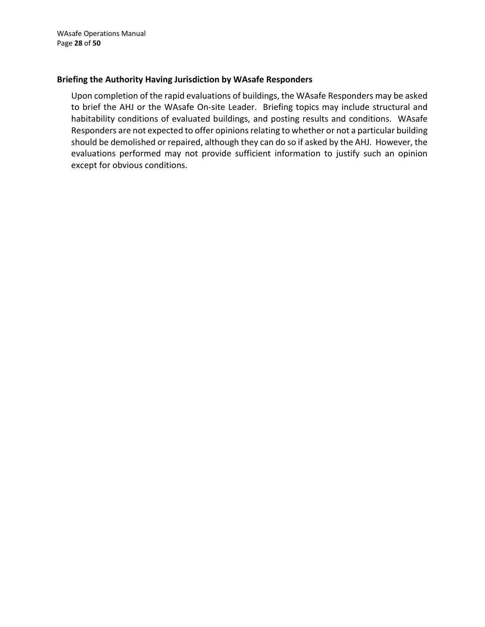#### Briefing the Authority Having Jurisdiction by WAsafe Responders

Upon completion of the rapid evaluations of buildings, the WAsafe Responders may be asked to brief the AHJ or the WAsafe On-site Leader. Briefing topics may include structural and habitability conditions of evaluated buildings, and posting results and conditions. WAsafe Responders are not expected to offer opinions relating to whether or not a particular building should be demolished or repaired, although they can do so if asked by the AHJ. However, the evaluations performed may not provide sufficient information to justify such an opinion except for obvious conditions.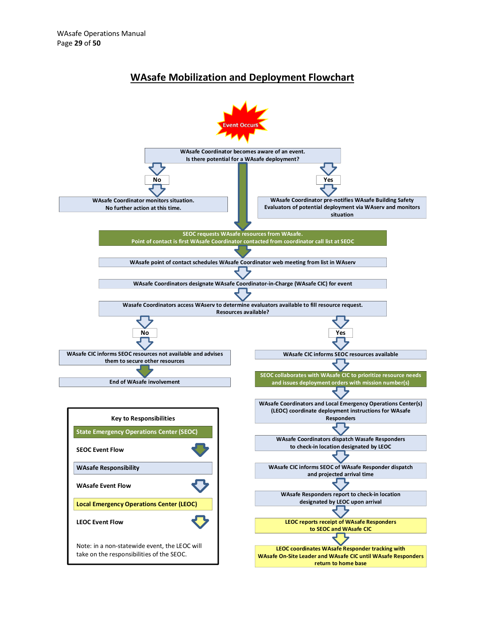